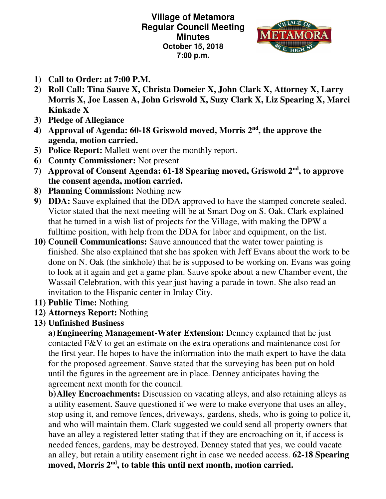**Village of Metamora Regular Council Meeting Minutes October 15, 2018 7:00 p.m.** 



- **1) Call to Order: at 7:00 P.M.**
- **2) Roll Call: Tina Sauve X, Christa Domeier X, John Clark X, Attorney X, Larry Morris X, Joe Lassen A, John Griswold X, Suzy Clark X, Liz Spearing X, Marci Kinkade X**
- **3) Pledge of Allegiance**
- **4) Approval of Agenda: 60-18 Griswold moved, Morris 2nd, the approve the agenda, motion carried.**
- **5) Police Report:** Mallett went over the monthly report.
- **6) County Commissioner:** Not present
- **7) Approval of Consent Agenda: 61-18 Spearing moved, Griswold 2nd, to approve the consent agenda, motion carried.**
- **8) Planning Commission:** Nothing new
- **9) DDA:** Sauve explained that the DDA approved to have the stamped concrete sealed. Victor stated that the next meeting will be at Smart Dog on S. Oak. Clark explained that he turned in a wish list of projects for the Village, with making the DPW a fulltime position, with help from the DDA for labor and equipment, on the list.
- **10) Council Communications:** Sauve announced that the water tower painting is finished. She also explained that she has spoken with Jeff Evans about the work to be done on N. Oak (the sinkhole) that he is supposed to be working on. Evans was going to look at it again and get a game plan. Sauve spoke about a new Chamber event, the Wassail Celebration, with this year just having a parade in town. She also read an invitation to the Hispanic center in Imlay City.
- **11) Public Time:** Nothing*.*
- **12) Attorneys Report:** Nothing
- **13) Unfinished Business**

**a)Engineering Management-Water Extension:** Denney explained that he just contacted F&V to get an estimate on the extra operations and maintenance cost for the first year. He hopes to have the information into the math expert to have the data for the proposed agreement. Sauve stated that the surveying has been put on hold until the figures in the agreement are in place. Denney anticipates having the agreement next month for the council.

**b)Alley Encroachments:** Discussion on vacating alleys, and also retaining alleys as a utility easement. Sauve questioned if we were to make everyone that uses an alley, stop using it, and remove fences, driveways, gardens, sheds, who is going to police it, and who will maintain them. Clark suggested we could send all property owners that have an alley a registered letter stating that if they are encroaching on it, if access is needed fences, gardens, may be destroyed. Denney stated that yes, we could vacate an alley, but retain a utility easement right in case we needed access. **62-18 Spearing moved, Morris 2nd, to table this until next month, motion carried.**